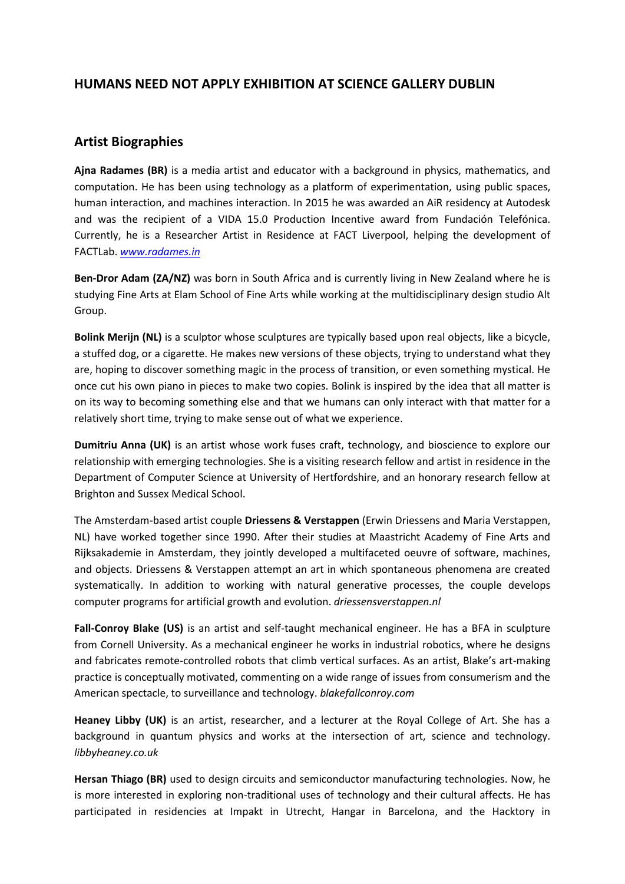## **HUMANS NEED NOT APPLY EXHIBITION AT SCIENCE GALLERY DUBLIN**

## **Artist Biographies**

**Ajna Radames (BR)** is a media artist and educator with a background in physics, mathematics, and computation. He has been using technology as a platform of experimentation, using public spaces, human interaction, and machines interaction. In 2015 he was awarded an AiR residency at Autodesk and was the recipient of a VIDA 15.0 Production Incentive award from Fundación Telefónica. Currently, he is a Researcher Artist in Residence at FACT Liverpool, helping the development of FACTLab. *[www.radames.in](http://www.radames.in/)*

**Ben-Dror Adam (ZA/NZ)** was born in South Africa and is currently living in New Zealand where he is studying Fine Arts at Elam School of Fine Arts while working at the multidisciplinary design studio Alt Group.

**Bolink Merijn (NL)** is a sculptor whose sculptures are typically based upon real objects, like a bicycle, a stuffed dog, or a cigarette. He makes new versions of these objects, trying to understand what they are, hoping to discover something magic in the process of transition, or even something mystical. He once cut his own piano in pieces to make two copies. Bolink is inspired by the idea that all matter is on its way to becoming something else and that we humans can only interact with that matter for a relatively short time, trying to make sense out of what we experience.

**Dumitriu Anna (UK)** is an artist whose work fuses craft, technology, and bioscience to explore our relationship with emerging technologies. She is a visiting research fellow and artist in residence in the Department of Computer Science at University of Hertfordshire, and an honorary research fellow at Brighton and Sussex Medical School.

The Amsterdam-based artist couple **Driessens & Verstappen** (Erwin Driessens and Maria Verstappen, NL) have worked together since 1990. After their studies at Maastricht Academy of Fine Arts and Rijksakademie in Amsterdam, they jointly developed a multifaceted oeuvre of software, machines, and objects. Driessens & Verstappen attempt an art in which spontaneous phenomena are created systematically. In addition to working with natural generative processes, the couple develops computer programs for artificial growth and evolution. *driessensverstappen.nl*

**Fall-Conroy Blake (US)** is an artist and self-taught mechanical engineer. He has a BFA in sculpture from Cornell University. As a mechanical engineer he works in industrial robotics, where he designs and fabricates remote-controlled robots that climb vertical surfaces. As an artist, Blake's art-making practice is conceptually motivated, commenting on a wide range of issues from consumerism and the American spectacle, to surveillance and technology. *blakefallconroy.com*

**Heaney Libby (UK)** is an artist, researcher, and a lecturer at the Royal College of Art. She has a background in quantum physics and works at the intersection of art, science and technology. *libbyheaney.co.uk*

**Hersan Thiago (BR)** used to design circuits and semiconductor manufacturing technologies. Now, he is more interested in exploring non-traditional uses of technology and their cultural affects. He has participated in residencies at Impakt in Utrecht, Hangar in Barcelona, and the Hacktory in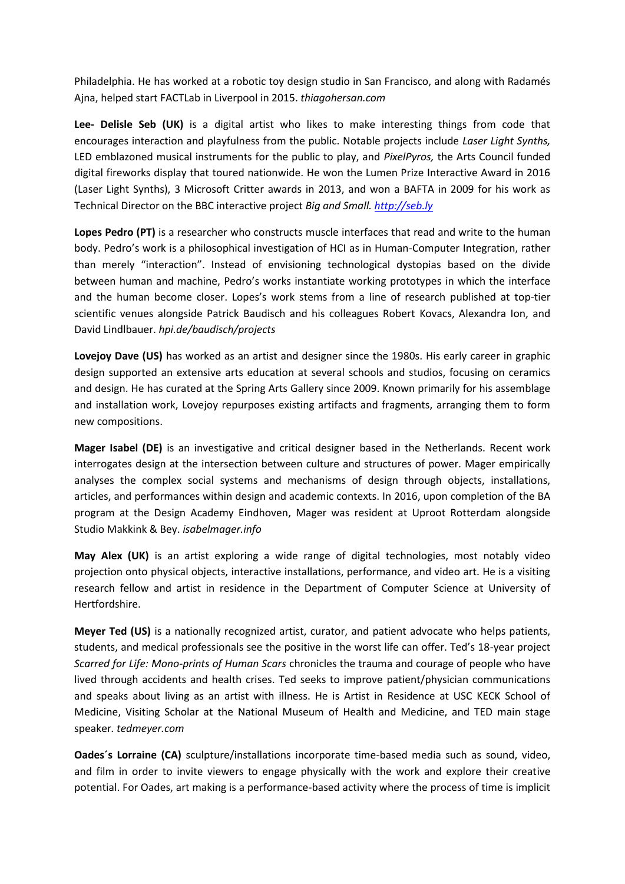Philadelphia. He has worked at a robotic toy design studio in San Francisco, and along with Radamés Ajna, helped start FACTLab in Liverpool in 2015. *thiagohersan.com*

**Lee- Delisle Seb (UK)** is a digital artist who likes to make interesting things from code that encourages interaction and playfulness from the public. Notable projects include *Laser Light Synths,*  LED emblazoned musical instruments for the public to play, and *PixelPyros,* the Arts Council funded digital fireworks display that toured nationwide. He won the Lumen Prize Interactive Award in 2016 (Laser Light Synths), 3 Microsoft Critter awards in 2013, and won a BAFTA in 2009 for his work as Technical Director on the BBC interactive project *Big and Small[. http://seb.ly](http://seb.ly/)*

**Lopes Pedro (PT)** is a researcher who constructs muscle interfaces that read and write to the human body. Pedro's work is a philosophical investigation of HCI as in Human-Computer Integration, rather than merely "interaction". Instead of envisioning technological dystopias based on the divide between human and machine, Pedro's works instantiate working prototypes in which the interface and the human become closer. Lopes's work stems from a line of research published at top-tier scientific venues alongside Patrick Baudisch and his colleagues Robert Kovacs, Alexandra Ion, and David Lindlbauer. *hpi.de/baudisch/projects*

**Lovejoy Dave (US)** has worked as an artist and designer since the 1980s. His early career in graphic design supported an extensive arts education at several schools and studios, focusing on ceramics and design. He has curated at the Spring Arts Gallery since 2009. Known primarily for his assemblage and installation work, Lovejoy repurposes existing artifacts and fragments, arranging them to form new compositions.

**Mager Isabel (DE)** is an investigative and critical designer based in the Netherlands. Recent work interrogates design at the intersection between culture and structures of power. Mager empirically analyses the complex social systems and mechanisms of design through objects, installations, articles, and performances within design and academic contexts. In 2016, upon completion of the BA program at the Design Academy Eindhoven, Mager was resident at Uproot Rotterdam alongside Studio Makkink & Bey. *isabelmager.info*

**May Alex (UK)** is an artist exploring a wide range of digital technologies, most notably video projection onto physical objects, interactive installations, performance, and video art. He is a visiting research fellow and artist in residence in the Department of Computer Science at University of Hertfordshire.

**Meyer Ted (US)** is a nationally recognized artist, curator, and patient advocate who helps patients, students, and medical professionals see the positive in the worst life can offer. Ted's 18-year project *Scarred for Life: Mono-prints of Human Scars* chronicles the trauma and courage of people who have lived through accidents and health crises. Ted seeks to improve patient/physician communications and speaks about living as an artist with illness. He is Artist in Residence at USC KECK School of Medicine, Visiting Scholar at the National Museum of Health and Medicine, and TED main stage speaker*. tedmeyer.com*

**Oades´s Lorraine (CA)** sculpture/installations incorporate time-based media such as sound, video, and film in order to invite viewers to engage physically with the work and explore their creative potential. For Oades, art making is a performance-based activity where the process of time is implicit